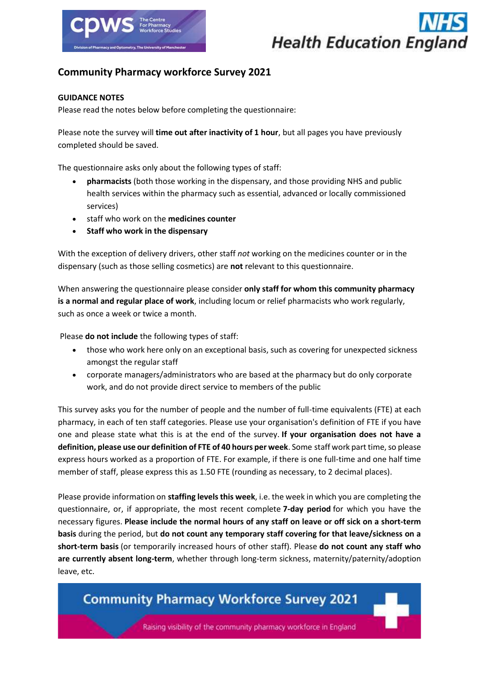



### **Community Pharmacy workforce Survey 2021**

### **GUIDANCE NOTES**

Please read the notes below before completing the questionnaire:

Please note the survey will **time out after inactivity of 1 hour**, but all pages you have previously completed should be saved.

The questionnaire asks only about the following types of staff:

- **pharmacists** (both those working in the dispensary, and those providing NHS and public health services within the pharmacy such as essential, advanced or locally commissioned services)
- staff who work on the **medicines counter**
- **Staff who work in the dispensary**

With the exception of delivery drivers, other staff *not* working on the medicines counter or in the dispensary (such as those selling cosmetics) are **not** relevant to this questionnaire.

When answering the questionnaire please consider **only staff for whom this community pharmacy is a normal and regular place of work**, including locum or relief pharmacists who work regularly, such as once a week or twice a month.

Please **do not include** the following types of staff:

- those who work here only on an exceptional basis, such as covering for unexpected sickness amongst the regular staff
- corporate managers/administrators who are based at the pharmacy but do only corporate work, and do not provide direct service to members of the public

This survey asks you for the number of people and the number of full-time equivalents (FTE) at each pharmacy, in each of ten staff categories. Please use your organisation's definition of FTE if you have one and please state what this is at the end of the survey. **If your organisation does not have a definition, please use our definition of FTE of 40 hours per week**. Some staff work part time, so please express hours worked as a proportion of FTE. For example, if there is one full-time and one half time member of staff, please express this as 1.50 FTE (rounding as necessary, to 2 decimal places).

Please provide information on **staffing levels this week**, i.e. the week in which you are completing the questionnaire, or, if appropriate, the most recent complete **7-day period** for which you have the necessary figures. **Please include the normal hours of any staff on leave or off sick on a short-term basis** during the period, but **do not count any temporary staff covering for that leave/sickness on a short-term basis** (or temporarily increased hours of other staff). Please **do not count any staff who are currently absent long-term**, whether through long-term sickness, maternity/paternity/adoption leave, etc.

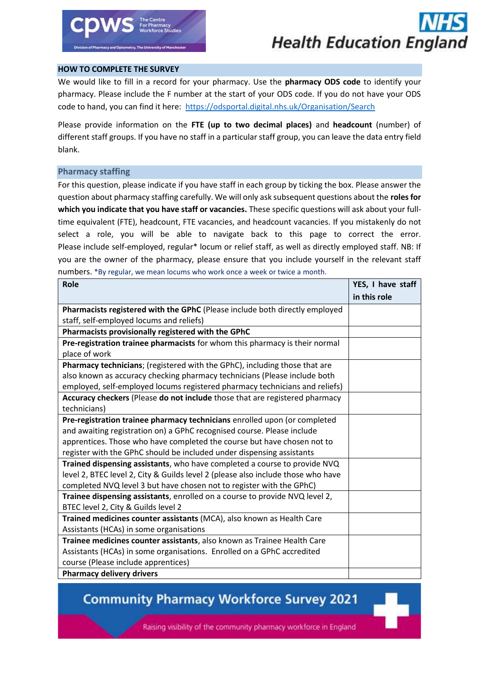

#### **HOW TO COMPLETE THE SURVEY**

We would like to fill in a record for your pharmacy. Use the **pharmacy ODS code** to identify your pharmacy. Please include the F number at the start of your ODS code. If you do not have your ODS code to hand, you can find it here: <https://odsportal.digital.nhs.uk/Organisation/Search>

Please provide information on the **FTE (up to two decimal places)** and **headcount** (number) of different staff groups. If you have no staff in a particular staff group, you can leave the data entry field blank.

### **Pharmacy staffing**

For this question, please indicate if you have staff in each group by ticking the box. Please answer the question about pharmacy staffing carefully. We will only ask subsequent questions about the **roles for which you indicate that you have staff or vacancies.** These specific questions will ask about your fulltime equivalent (FTE), headcount, FTE vacancies, and headcount vacancies. If you mistakenly do not select a role, you will be able to navigate back to this page to correct the error. Please include self-employed, regular\* locum or relief staff, as well as directly employed staff. NB: If you are the owner of the pharmacy, please ensure that you include yourself in the relevant staff numbers. \*By regular, we mean locums who work once a week or twice a month.

| <b>Role</b>                                                                      | YES, I have staff |
|----------------------------------------------------------------------------------|-------------------|
|                                                                                  | in this role      |
| Pharmacists registered with the GPhC (Please include both directly employed      |                   |
| staff, self-employed locums and reliefs)                                         |                   |
| Pharmacists provisionally registered with the GPhC                               |                   |
| Pre-registration trainee pharmacists for whom this pharmacy is their normal      |                   |
| place of work                                                                    |                   |
| Pharmacy technicians; (registered with the GPhC), including those that are       |                   |
| also known as accuracy checking pharmacy technicians (Please include both        |                   |
| employed, self-employed locums registered pharmacy technicians and reliefs)      |                   |
| Accuracy checkers (Please do not include those that are registered pharmacy      |                   |
| technicians)                                                                     |                   |
| Pre-registration trainee pharmacy technicians enrolled upon (or completed        |                   |
| and awaiting registration on) a GPhC recognised course. Please include           |                   |
| apprentices. Those who have completed the course but have chosen not to          |                   |
| register with the GPhC should be included under dispensing assistants            |                   |
| Trained dispensing assistants, who have completed a course to provide NVQ        |                   |
| level 2, BTEC level 2, City & Guilds level 2 (please also include those who have |                   |
| completed NVQ level 3 but have chosen not to register with the GPhC)             |                   |
| Trainee dispensing assistants, enrolled on a course to provide NVQ level 2,      |                   |
| BTEC level 2, City & Guilds level 2                                              |                   |
| Trained medicines counter assistants (MCA), also known as Health Care            |                   |
| Assistants (HCAs) in some organisations                                          |                   |
| Trainee medicines counter assistants, also known as Trainee Health Care          |                   |
| Assistants (HCAs) in some organisations. Enrolled on a GPhC accredited           |                   |
| course (Please include apprentices)                                              |                   |
| <b>Pharmacy delivery drivers</b>                                                 |                   |

### **Community Pharmacy Workforce Survey 2021**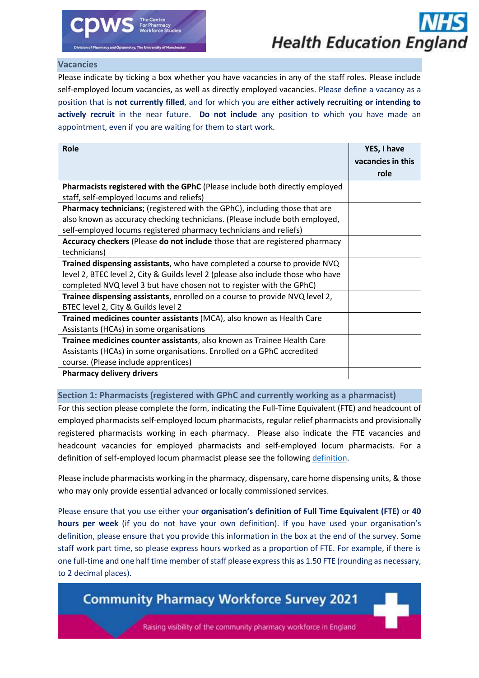### **Vacancies**

Please indicate by ticking a box whether you have vacancies in any of the staff roles. Please include self-employed locum vacancies, as well as directly employed vacancies. Please define a vacancy as a position that is **not currently filled**, and for which you are **either actively recruiting or intending to actively recruit** in the near future. **Do not include** any position to which you have made an appointment, even if you are waiting for them to start work.

| <b>Role</b>                                                                       | YES, I have       |
|-----------------------------------------------------------------------------------|-------------------|
|                                                                                   | vacancies in this |
|                                                                                   | role              |
| Pharmacists registered with the GPhC (Please include both directly employed       |                   |
| staff, self-employed locums and reliefs)                                          |                   |
| <b>Pharmacy technicians;</b> (registered with the GPhC), including those that are |                   |
| also known as accuracy checking technicians. (Please include both employed,       |                   |
| self-employed locums registered pharmacy technicians and reliefs)                 |                   |
| Accuracy checkers (Please do not include those that are registered pharmacy       |                   |
| technicians)                                                                      |                   |
| Trained dispensing assistants, who have completed a course to provide NVQ         |                   |
| level 2, BTEC level 2, City & Guilds level 2 (please also include those who have  |                   |
| completed NVQ level 3 but have chosen not to register with the GPhC)              |                   |
| Trainee dispensing assistants, enrolled on a course to provide NVQ level 2,       |                   |
| BTEC level 2, City & Guilds level 2                                               |                   |
| Trained medicines counter assistants (MCA), also known as Health Care             |                   |
| Assistants (HCAs) in some organisations                                           |                   |
| Trainee medicines counter assistants, also known as Trainee Health Care           |                   |
| Assistants (HCAs) in some organisations. Enrolled on a GPhC accredited            |                   |
| course. (Please include apprentices)                                              |                   |
| <b>Pharmacy delivery drivers</b>                                                  |                   |

### **Section 1: Pharmacists (registered with GPhC and currently working as a pharmacist)**

For this section please complete the form, indicating the Full-Time Equivalent (FTE) and headcount of employed pharmacists self-employed locum pharmacists, regular relief pharmacists and provisionally registered pharmacists working in each pharmacy. Please also indicate the FTE vacancies and headcount vacancies for employed pharmacists and self-employed locum pharmacists. For a definition of self-employed locum pharmacist please see the following [definition.](https://www.gov.uk/hmrc-internal-manuals/employment-status-manual/esm4270)

Please include pharmacists working in the pharmacy, dispensary, care home dispensing units, & those who may only provide essential advanced or locally commissioned services.

Please ensure that you use either your **organisation's definition of Full Time Equivalent (FTE)** or **40 hours per week** (if you do not have your own definition). If you have used your organisation's definition, please ensure that you provide this information in the box at the end of the survey. Some staff work part time, so please express hours worked as a proportion of FTE. For example, if there is one full-time and one half time member of staff please express this as 1.50 FTE (rounding as necessary, to 2 decimal places).

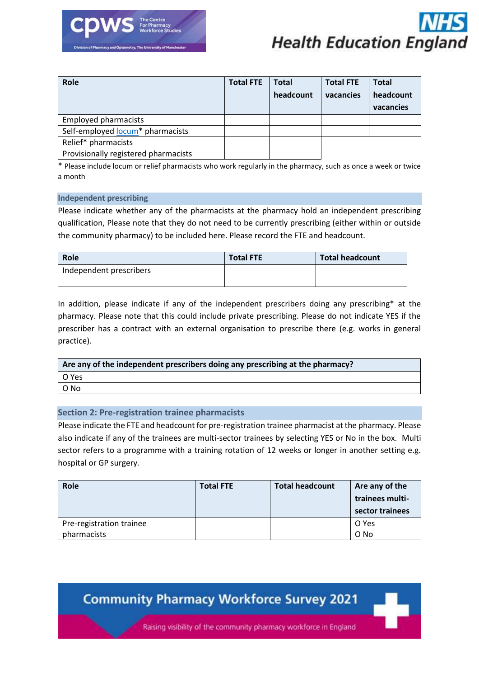



| Role                                 | <b>Total FTE</b> | <b>Total</b> | <b>Total FTE</b> | <b>Total</b> |
|--------------------------------------|------------------|--------------|------------------|--------------|
|                                      |                  | headcount    | vacancies        | headcount    |
|                                      |                  |              |                  | vacancies    |
| <b>Employed pharmacists</b>          |                  |              |                  |              |
| Self-employed locum* pharmacists     |                  |              |                  |              |
| Relief* pharmacists                  |                  |              |                  |              |
| Provisionally registered pharmacists |                  |              |                  |              |

\* Please include locum or relief pharmacists who work regularly in the pharmacy, such as once a week or twice a month

#### **Independent prescribing**

Please indicate whether any of the pharmacists at the pharmacy hold an independent prescribing qualification, Please note that they do not need to be currently prescribing (either within or outside the community pharmacy) to be included here. Please record the FTE and headcount.

| Role                    | <b>Total FTE</b> | <b>Total headcount</b> |
|-------------------------|------------------|------------------------|
| Independent prescribers |                  |                        |

In addition, please indicate if any of the independent prescribers doing any prescribing\* at the pharmacy. Please note that this could include private prescribing. Please do not indicate YES if the prescriber has a contract with an external organisation to prescribe there (e.g. works in general practice).

| Are any of the independent prescribers doing any prescribing at the pharmacy? |  |  |
|-------------------------------------------------------------------------------|--|--|
| l O Yes                                                                       |  |  |
| O No                                                                          |  |  |

### **Section 2: Pre-registration trainee pharmacists**

Please indicate the FTE and headcount for pre-registration trainee pharmacist at the pharmacy. Please also indicate if any of the trainees are multi-sector trainees by selecting YES or No in the box. Multi sector refers to a programme with a training rotation of 12 weeks or longer in another setting e.g. hospital or GP surgery*.*

| Role                     | <b>Total FTE</b> | <b>Total headcount</b> | Are any of the<br>trainees multi-<br>sector trainees |
|--------------------------|------------------|------------------------|------------------------------------------------------|
| Pre-registration trainee |                  |                        | O Yes                                                |
| pharmacists              |                  |                        | O No                                                 |

### **Community Pharmacy Workforce Survey 2021**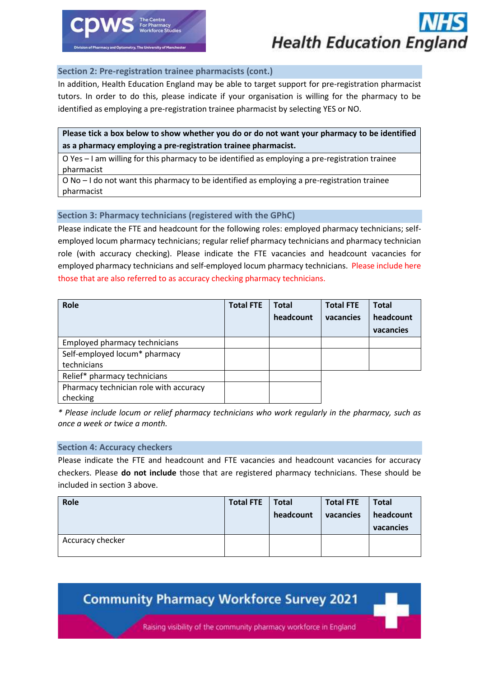

### **Section 2: Pre-registration trainee pharmacists (cont.)**

In addition, Health Education England may be able to target support for pre-registration pharmacist tutors. In order to do this, please indicate if your organisation is willing for the pharmacy to be identified as employing a pre-registration trainee pharmacist by selecting YES or NO.

### **Please tick a box below to show whether you do or do not want your pharmacy to be identified as a pharmacy employing a pre-registration trainee pharmacist.**

O Yes – I am willing for this pharmacy to be identified as employing a pre-registration trainee pharmacist

O No – I do not want this pharmacy to be identified as employing a pre-registration trainee pharmacist

### **Section 3: Pharmacy technicians (registered with the GPhC)**

Please indicate the FTE and headcount for the following roles: employed pharmacy technicians; selfemployed locum pharmacy technicians; regular relief pharmacy technicians and pharmacy technician role (with accuracy checking). Please indicate the FTE vacancies and headcount vacancies for employed pharmacy technicians and self-employed locum pharmacy technicians. Please include here those that are also referred to as accuracy checking pharmacy technicians.

| Role                                   | <b>Total FTE</b> | Total     | <b>Total FTE</b> | <b>Total</b> |
|----------------------------------------|------------------|-----------|------------------|--------------|
|                                        |                  | headcount | vacancies        | headcount    |
|                                        |                  |           |                  | vacancies    |
| Employed pharmacy technicians          |                  |           |                  |              |
| Self-employed locum* pharmacy          |                  |           |                  |              |
| technicians                            |                  |           |                  |              |
| Relief* pharmacy technicians           |                  |           |                  |              |
| Pharmacy technician role with accuracy |                  |           |                  |              |
| checking                               |                  |           |                  |              |

*\* Please include locum or relief pharmacy technicians who work regularly in the pharmacy, such as once a week or twice a month.*

### **Section 4: Accuracy checkers**

Please indicate the FTE and headcount and FTE vacancies and headcount vacancies for accuracy checkers. Please **do not include** those that are registered pharmacy technicians. These should be included in section 3 above.

| Role             | <b>Total FTE</b> | <b>Total</b><br>headcount | <b>Total FTE</b><br>vacancies | <b>Total</b><br>headcount<br>vacancies |
|------------------|------------------|---------------------------|-------------------------------|----------------------------------------|
| Accuracy checker |                  |                           |                               |                                        |

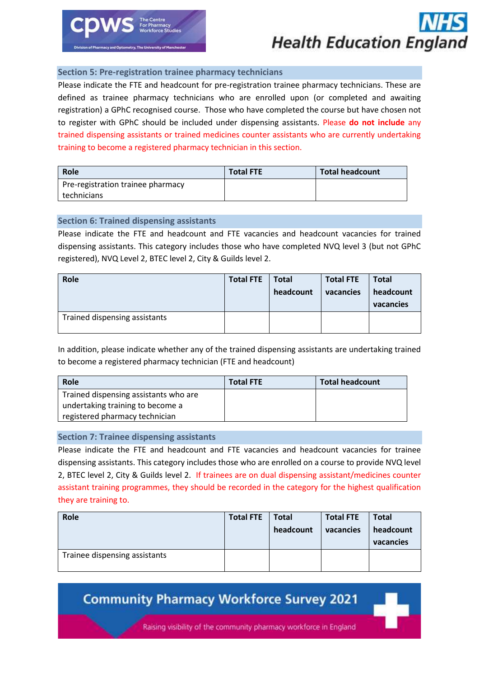

### **Section 5: Pre-registration trainee pharmacy technicians**

Please indicate the FTE and headcount for pre-registration trainee pharmacy technicians. These are defined as trainee pharmacy technicians who are enrolled upon (or completed and awaiting registration) a GPhC recognised course.Those who have completed the course but have chosen not to register with GPhC should be included under dispensing assistants. Please **do not include** any trained dispensing assistants or trained medicines counter assistants who are currently undertaking training to become a registered pharmacy technician in this section.

| Role                              | <b>Total FTE</b> | <b>Total headcount</b> |
|-----------------------------------|------------------|------------------------|
| Pre-registration trainee pharmacy |                  |                        |
| technicians                       |                  |                        |

### **Section 6: Trained dispensing assistants**

Please indicate the FTE and headcount and FTE vacancies and headcount vacancies for trained dispensing assistants. This category includes those who have completed NVQ level 3 (but not GPhC registered), NVQ Level 2, BTEC level 2, City & Guilds level 2.

| Role                          | <b>Total FTE</b> | <b>Total</b><br>headcount | <b>Total FTE</b><br>vacancies | Total<br>headcount<br>vacancies |
|-------------------------------|------------------|---------------------------|-------------------------------|---------------------------------|
| Trained dispensing assistants |                  |                           |                               |                                 |

In addition, please indicate whether any of the trained dispensing assistants are undertaking trained to become a registered pharmacy technician (FTE and headcount)

| Role                                                                                                        | <b>Total FTE</b> | <b>Total headcount</b> |
|-------------------------------------------------------------------------------------------------------------|------------------|------------------------|
| Trained dispensing assistants who are<br>undertaking training to become a<br>registered pharmacy technician |                  |                        |

### **Section 7: Trainee dispensing assistants**

Please indicate the FTE and headcount and FTE vacancies and headcount vacancies for trainee dispensing assistants. This category includes those who are enrolled on a course to provide NVQ level 2, BTEC level 2, City & Guilds level 2. If trainees are on dual dispensing assistant/medicines counter assistant training programmes, they should be recorded in the category for the highest qualification they are training to.

| Role                          | <b>Total FTE</b> | <b>Total</b> | <b>Total FTE</b> | <b>Total</b>           |
|-------------------------------|------------------|--------------|------------------|------------------------|
|                               |                  | headcount    | vacancies        | headcount<br>vacancies |
| Trainee dispensing assistants |                  |              |                  |                        |

### **Community Pharmacy Workforce Survey 2021**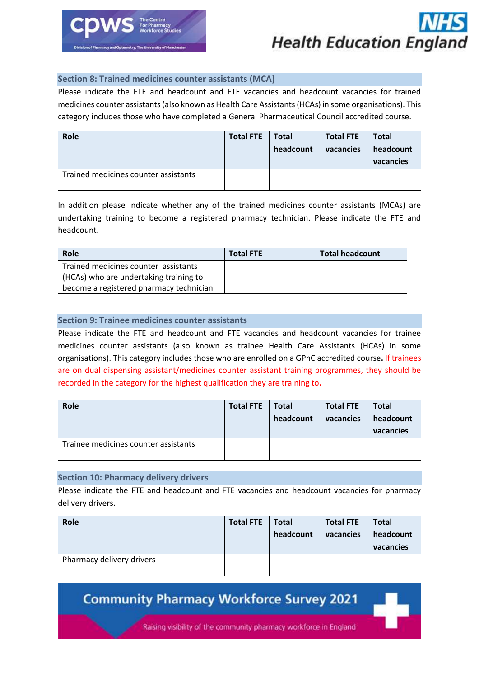

### **Section 8: Trained medicines counter assistants (MCA)**

Please indicate the FTE and headcount and FTE vacancies and headcount vacancies for trained medicines counter assistants (also known as Health Care Assistants (HCAs) in some organisations). This category includes those who have completed a General Pharmaceutical Council accredited course.

| Role                                 | <b>Total FTE</b> | <b>Total</b><br>headcount | <b>Total FTE</b><br>vacancies | Total<br>headcount<br>vacancies |
|--------------------------------------|------------------|---------------------------|-------------------------------|---------------------------------|
| Trained medicines counter assistants |                  |                           |                               |                                 |

In addition please indicate whether any of the trained medicines counter assistants (MCAs) are undertaking training to become a registered pharmacy technician. Please indicate the FTE and headcount.

| Role                                    | <b>Total FTE</b> | Total headcount |
|-----------------------------------------|------------------|-----------------|
| Trained medicines counter assistants    |                  |                 |
| (HCAs) who are undertaking training to  |                  |                 |
| become a registered pharmacy technician |                  |                 |

### **Section 9: Trainee medicines counter assistants**

Please indicate the FTE and headcount and FTE vacancies and headcount vacancies for trainee medicines counter assistants (also known as trainee Health Care Assistants (HCAs) in some organisations). This category includes those who are enrolled on a GPhC accredited course**.** If trainees are on dual dispensing assistant/medicines counter assistant training programmes, they should be recorded in the category for the highest qualification they are training to**.**

| Role                                 | <b>Total FTE</b> | <b>Total</b><br>headcount | <b>Total FTE</b><br>vacancies | <b>Total</b><br>headcount<br>vacancies |
|--------------------------------------|------------------|---------------------------|-------------------------------|----------------------------------------|
| Trainee medicines counter assistants |                  |                           |                               |                                        |

### **Section 10: Pharmacy delivery drivers**

Please indicate the FTE and headcount and FTE vacancies and headcount vacancies for pharmacy delivery drivers.

| Role                      | <b>Total FTE</b> | <b>Total</b><br>headcount | <b>Total FTE</b><br>vacancies | <b>Total</b><br>headcount<br>vacancies |
|---------------------------|------------------|---------------------------|-------------------------------|----------------------------------------|
| Pharmacy delivery drivers |                  |                           |                               |                                        |

**Community Pharmacy Workforce Survey 2021**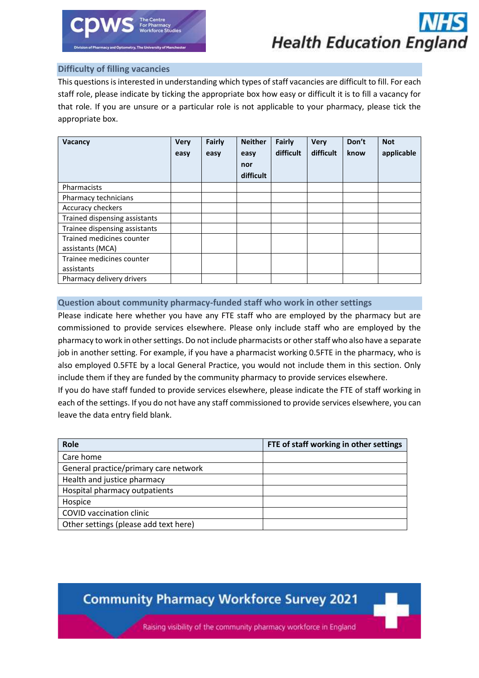

### **Difficulty of filling vacancies**

This questions is interested in understanding which types of staff vacancies are difficult to fill. For each staff role, please indicate by ticking the appropriate box how easy or difficult it is to fill a vacancy for that role. If you are unsure or a particular role is not applicable to your pharmacy, please tick the appropriate box.

| Vacancy                       | <b>Very</b><br>easy | Fairly<br>easy | <b>Neither</b><br>easy<br>nor<br>difficult | Fairly<br>difficult | <b>Very</b><br>difficult | Don't<br>know | <b>Not</b><br>applicable |
|-------------------------------|---------------------|----------------|--------------------------------------------|---------------------|--------------------------|---------------|--------------------------|
| Pharmacists                   |                     |                |                                            |                     |                          |               |                          |
| Pharmacy technicians          |                     |                |                                            |                     |                          |               |                          |
| Accuracy checkers             |                     |                |                                            |                     |                          |               |                          |
| Trained dispensing assistants |                     |                |                                            |                     |                          |               |                          |
| Trainee dispensing assistants |                     |                |                                            |                     |                          |               |                          |
| Trained medicines counter     |                     |                |                                            |                     |                          |               |                          |
| assistants (MCA)              |                     |                |                                            |                     |                          |               |                          |
| Trainee medicines counter     |                     |                |                                            |                     |                          |               |                          |
| assistants                    |                     |                |                                            |                     |                          |               |                          |
| Pharmacy delivery drivers     |                     |                |                                            |                     |                          |               |                          |

### **Question about community pharmacy-funded staff who work in other settings**

Please indicate here whether you have any FTE staff who are employed by the pharmacy but are commissioned to provide services elsewhere. Please only include staff who are employed by the pharmacy to work in other settings. Do not include pharmacists or other staff who also have a separate job in another setting. For example, if you have a pharmacist working 0.5FTE in the pharmacy, who is also employed 0.5FTE by a local General Practice, you would not include them in this section. Only include them if they are funded by the community pharmacy to provide services elsewhere.

If you do have staff funded to provide services elsewhere, please indicate the FTE of staff working in each of the settings. If you do not have any staff commissioned to provide services elsewhere, you can leave the data entry field blank.

| Role                                  | FTE of staff working in other settings |
|---------------------------------------|----------------------------------------|
| Care home                             |                                        |
| General practice/primary care network |                                        |
| Health and justice pharmacy           |                                        |
| Hospital pharmacy outpatients         |                                        |
| Hospice                               |                                        |
| <b>COVID vaccination clinic</b>       |                                        |
| Other settings (please add text here) |                                        |

### **Community Pharmacy Workforce Survey 2021**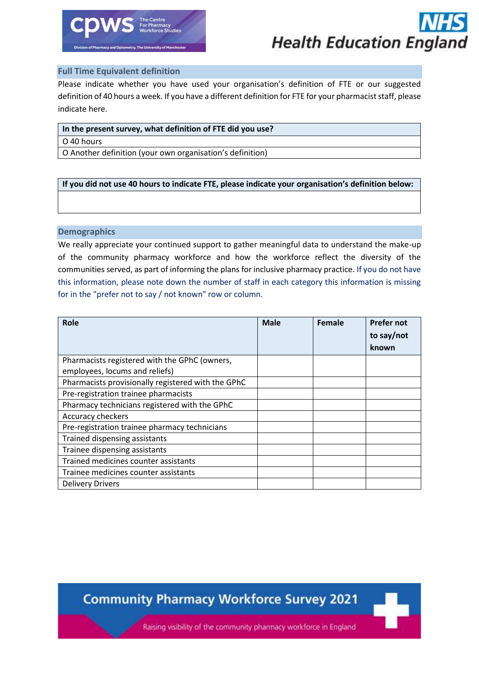

### **Full Time Equivalent definition**

Please indicate whether you have used your organisation's definition of FTE or our suggested definition of 40 hours a week. If you have a different definition for FTE for your pharmacist staff, please indicate here.

### **In the present survey, what definition of FTE did you use?**

#### O 40 hours

O Another definition (your own organisation's definition)

### **If you did not use 40 hours to indicate FTE, please indicate your organisation's definition below:**

### **Demographics**

We really appreciate your continued support to gather meaningful data to understand the make-up of the community pharmacy workforce and how the workforce reflect the diversity of the communities served, as part of informing the plans for inclusive pharmacy practice. If you do not have this information, please note down the number of staff in each category this information is missing for in the "prefer not to say / not known" row or column.

| <b>Role</b>                                        | <b>Male</b> | Female | <b>Prefer not</b><br>to say/not<br>known |
|----------------------------------------------------|-------------|--------|------------------------------------------|
| Pharmacists registered with the GPhC (owners,      |             |        |                                          |
| employees, locums and reliefs)                     |             |        |                                          |
| Pharmacists provisionally registered with the GPhC |             |        |                                          |
| Pre-registration trainee pharmacists               |             |        |                                          |
| Pharmacy technicians registered with the GPhC      |             |        |                                          |
| Accuracy checkers                                  |             |        |                                          |
| Pre-registration trainee pharmacy technicians      |             |        |                                          |
| Trained dispensing assistants                      |             |        |                                          |
| Trainee dispensing assistants                      |             |        |                                          |
| Trained medicines counter assistants               |             |        |                                          |
| Trainee medicines counter assistants               |             |        |                                          |
| <b>Delivery Drivers</b>                            |             |        |                                          |

**Community Pharmacy Workforce Survey 2021**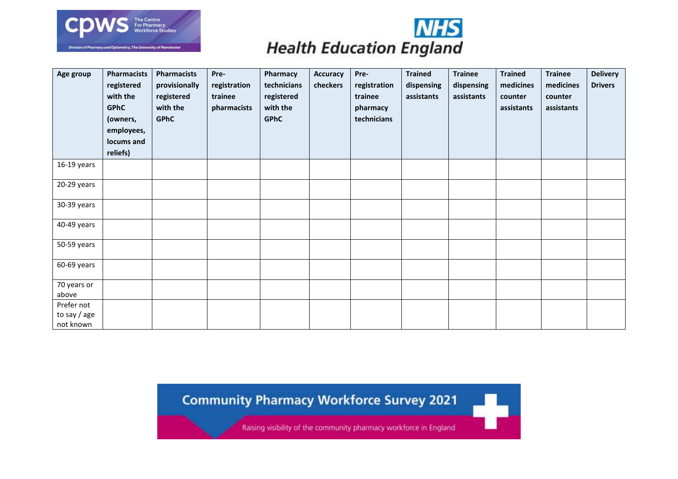



| Age group                               | <b>Pharmacists</b><br>registered<br>with the<br><b>GPhC</b><br>(owners,<br>employees,<br>locums and<br>reliefs) | <b>Pharmacists</b><br>provisionally<br>registered<br>with the<br><b>GPhC</b> | Pre-<br>registration<br>trainee<br>pharmacists | Pharmacy<br>technicians<br>registered<br>with the<br><b>GPhC</b> | <b>Accuracy</b><br>checkers | Pre-<br>registration<br>trainee<br>pharmacy<br>technicians | <b>Trained</b><br>dispensing<br>assistants | <b>Trainee</b><br>dispensing<br>assistants | <b>Trained</b><br>medicines<br>counter<br>assistants | <b>Trainee</b><br>medicines<br>counter<br>assistants | <b>Delivery</b><br><b>Drivers</b> |
|-----------------------------------------|-----------------------------------------------------------------------------------------------------------------|------------------------------------------------------------------------------|------------------------------------------------|------------------------------------------------------------------|-----------------------------|------------------------------------------------------------|--------------------------------------------|--------------------------------------------|------------------------------------------------------|------------------------------------------------------|-----------------------------------|
| 16-19 years                             |                                                                                                                 |                                                                              |                                                |                                                                  |                             |                                                            |                                            |                                            |                                                      |                                                      |                                   |
| 20-29 years                             |                                                                                                                 |                                                                              |                                                |                                                                  |                             |                                                            |                                            |                                            |                                                      |                                                      |                                   |
| 30-39 years                             |                                                                                                                 |                                                                              |                                                |                                                                  |                             |                                                            |                                            |                                            |                                                      |                                                      |                                   |
| 40-49 years                             |                                                                                                                 |                                                                              |                                                |                                                                  |                             |                                                            |                                            |                                            |                                                      |                                                      |                                   |
| 50-59 years                             |                                                                                                                 |                                                                              |                                                |                                                                  |                             |                                                            |                                            |                                            |                                                      |                                                      |                                   |
| 60-69 years                             |                                                                                                                 |                                                                              |                                                |                                                                  |                             |                                                            |                                            |                                            |                                                      |                                                      |                                   |
| 70 years or<br>above                    |                                                                                                                 |                                                                              |                                                |                                                                  |                             |                                                            |                                            |                                            |                                                      |                                                      |                                   |
| Prefer not<br>to say / age<br>not known |                                                                                                                 |                                                                              |                                                |                                                                  |                             |                                                            |                                            |                                            |                                                      |                                                      |                                   |

**Community Pharmacy Workforce Survey 2021**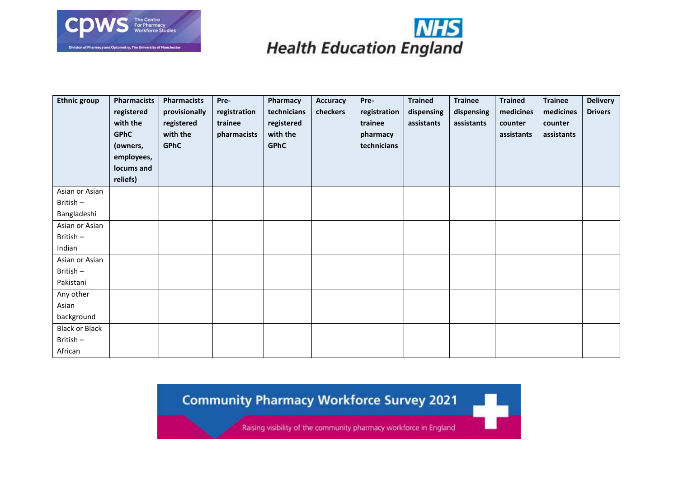



| <b>Ethnic group</b>     | <b>Pharmacists</b><br>registered<br>with the<br><b>GPhC</b><br>(owners,<br>employees,<br>locums and<br>reliefs) | <b>Pharmacists</b><br>provisionally<br>registered<br>with the<br><b>GPhC</b> | Pre-<br>registration<br>trainee<br>pharmacists | Pharmacy<br>technicians<br>registered<br>with the<br><b>GPhC</b> | <b>Accuracy</b><br>checkers | Pre-<br>registration<br>trainee<br>pharmacy<br>technicians | <b>Trained</b><br>dispensing<br>assistants | <b>Trainee</b><br>dispensing<br>assistants | <b>Trained</b><br>medicines<br>counter<br>assistants | <b>Trainee</b><br>medicines<br>counter<br>assistants | <b>Delivery</b><br><b>Drivers</b> |
|-------------------------|-----------------------------------------------------------------------------------------------------------------|------------------------------------------------------------------------------|------------------------------------------------|------------------------------------------------------------------|-----------------------------|------------------------------------------------------------|--------------------------------------------|--------------------------------------------|------------------------------------------------------|------------------------------------------------------|-----------------------------------|
| Asian or Asian          |                                                                                                                 |                                                                              |                                                |                                                                  |                             |                                                            |                                            |                                            |                                                      |                                                      |                                   |
| British-<br>Bangladeshi |                                                                                                                 |                                                                              |                                                |                                                                  |                             |                                                            |                                            |                                            |                                                      |                                                      |                                   |
| Asian or Asian          |                                                                                                                 |                                                                              |                                                |                                                                  |                             |                                                            |                                            |                                            |                                                      |                                                      |                                   |
| British-                |                                                                                                                 |                                                                              |                                                |                                                                  |                             |                                                            |                                            |                                            |                                                      |                                                      |                                   |
| Indian                  |                                                                                                                 |                                                                              |                                                |                                                                  |                             |                                                            |                                            |                                            |                                                      |                                                      |                                   |
| Asian or Asian          |                                                                                                                 |                                                                              |                                                |                                                                  |                             |                                                            |                                            |                                            |                                                      |                                                      |                                   |
| British-                |                                                                                                                 |                                                                              |                                                |                                                                  |                             |                                                            |                                            |                                            |                                                      |                                                      |                                   |
| Pakistani               |                                                                                                                 |                                                                              |                                                |                                                                  |                             |                                                            |                                            |                                            |                                                      |                                                      |                                   |
| Any other               |                                                                                                                 |                                                                              |                                                |                                                                  |                             |                                                            |                                            |                                            |                                                      |                                                      |                                   |
| Asian                   |                                                                                                                 |                                                                              |                                                |                                                                  |                             |                                                            |                                            |                                            |                                                      |                                                      |                                   |
| background              |                                                                                                                 |                                                                              |                                                |                                                                  |                             |                                                            |                                            |                                            |                                                      |                                                      |                                   |
| <b>Black or Black</b>   |                                                                                                                 |                                                                              |                                                |                                                                  |                             |                                                            |                                            |                                            |                                                      |                                                      |                                   |
| British-                |                                                                                                                 |                                                                              |                                                |                                                                  |                             |                                                            |                                            |                                            |                                                      |                                                      |                                   |
| African                 |                                                                                                                 |                                                                              |                                                |                                                                  |                             |                                                            |                                            |                                            |                                                      |                                                      |                                   |

**Community Pharmacy Workforce Survey 2021**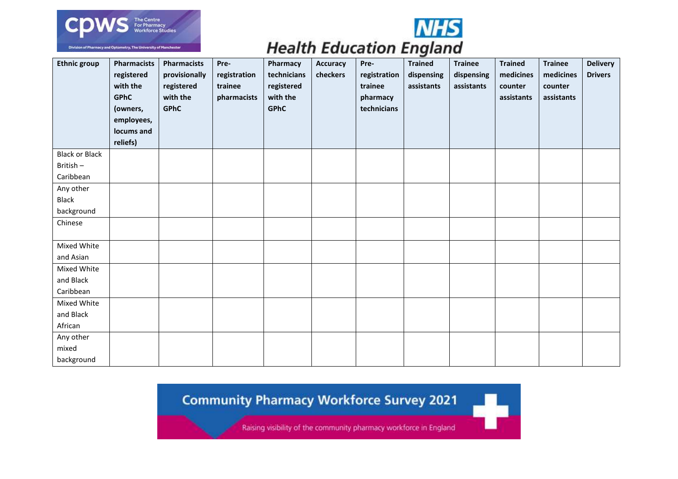



W,

### **Health Education England**

| <b>Ethnic group</b>   | <b>Pharmacists</b><br>registered<br>with the<br><b>GPhC</b><br>(owners,<br>employees,<br>locums and<br>reliefs) | <b>Pharmacists</b><br>provisionally<br>registered<br>with the<br><b>GPhC</b> | Pre-<br>registration<br>trainee<br>pharmacists | Pharmacy<br>technicians<br>registered<br>with the<br><b>GPhC</b> | <b>Accuracy</b><br>checkers | Pre-<br>registration<br>trainee<br>pharmacy<br>technicians | $\tilde{\phantom{a}}$<br><b>Trained</b><br>dispensing<br>assistants | <b>Trainee</b><br>dispensing<br>assistants | <b>Trained</b><br>medicines<br>counter<br>assistants | <b>Trainee</b><br>medicines<br>counter<br>assistants | <b>Delivery</b><br><b>Drivers</b> |
|-----------------------|-----------------------------------------------------------------------------------------------------------------|------------------------------------------------------------------------------|------------------------------------------------|------------------------------------------------------------------|-----------------------------|------------------------------------------------------------|---------------------------------------------------------------------|--------------------------------------------|------------------------------------------------------|------------------------------------------------------|-----------------------------------|
| <b>Black or Black</b> |                                                                                                                 |                                                                              |                                                |                                                                  |                             |                                                            |                                                                     |                                            |                                                      |                                                      |                                   |
| British-              |                                                                                                                 |                                                                              |                                                |                                                                  |                             |                                                            |                                                                     |                                            |                                                      |                                                      |                                   |
| Caribbean             |                                                                                                                 |                                                                              |                                                |                                                                  |                             |                                                            |                                                                     |                                            |                                                      |                                                      |                                   |
| Any other             |                                                                                                                 |                                                                              |                                                |                                                                  |                             |                                                            |                                                                     |                                            |                                                      |                                                      |                                   |
| <b>Black</b>          |                                                                                                                 |                                                                              |                                                |                                                                  |                             |                                                            |                                                                     |                                            |                                                      |                                                      |                                   |
| background            |                                                                                                                 |                                                                              |                                                |                                                                  |                             |                                                            |                                                                     |                                            |                                                      |                                                      |                                   |
| Chinese               |                                                                                                                 |                                                                              |                                                |                                                                  |                             |                                                            |                                                                     |                                            |                                                      |                                                      |                                   |
| Mixed White           |                                                                                                                 |                                                                              |                                                |                                                                  |                             |                                                            |                                                                     |                                            |                                                      |                                                      |                                   |
| and Asian             |                                                                                                                 |                                                                              |                                                |                                                                  |                             |                                                            |                                                                     |                                            |                                                      |                                                      |                                   |
| Mixed White           |                                                                                                                 |                                                                              |                                                |                                                                  |                             |                                                            |                                                                     |                                            |                                                      |                                                      |                                   |
| and Black             |                                                                                                                 |                                                                              |                                                |                                                                  |                             |                                                            |                                                                     |                                            |                                                      |                                                      |                                   |
| Caribbean             |                                                                                                                 |                                                                              |                                                |                                                                  |                             |                                                            |                                                                     |                                            |                                                      |                                                      |                                   |
| Mixed White           |                                                                                                                 |                                                                              |                                                |                                                                  |                             |                                                            |                                                                     |                                            |                                                      |                                                      |                                   |
| and Black             |                                                                                                                 |                                                                              |                                                |                                                                  |                             |                                                            |                                                                     |                                            |                                                      |                                                      |                                   |
| African               |                                                                                                                 |                                                                              |                                                |                                                                  |                             |                                                            |                                                                     |                                            |                                                      |                                                      |                                   |
| Any other             |                                                                                                                 |                                                                              |                                                |                                                                  |                             |                                                            |                                                                     |                                            |                                                      |                                                      |                                   |
| mixed                 |                                                                                                                 |                                                                              |                                                |                                                                  |                             |                                                            |                                                                     |                                            |                                                      |                                                      |                                   |
| background            |                                                                                                                 |                                                                              |                                                |                                                                  |                             |                                                            |                                                                     |                                            |                                                      |                                                      |                                   |

**Community Pharmacy Workforce Survey 2021**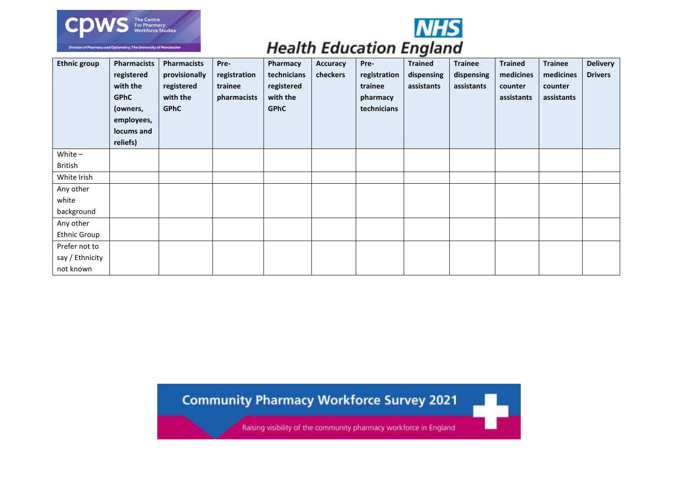



W,

### **Health Education England**

| <b>Ethnic group</b> | <b>Pharmacists</b><br>registered<br>with the<br><b>GPhC</b><br>(owners,<br>employees,<br>locums and<br>reliefs) | <b>Pharmacists</b><br>provisionally<br>registered<br>with the<br><b>GPhC</b> | Pre-<br>registration<br>trainee<br>pharmacists | Pharmacy<br>technicians<br>registered<br>with the<br><b>GPhC</b> | <b>Accuracy</b><br>checkers | Pre-<br>registration<br>trainee<br>pharmacy<br>technicians | ÷<br><b>Trained</b><br>dispensing<br>assistants | <b>Trainee</b><br>dispensing<br>assistants | <b>Trained</b><br>medicines<br>counter<br>assistants | <b>Trainee</b><br>medicines<br>counter<br>assistants | <b>Delivery</b><br><b>Drivers</b> |
|---------------------|-----------------------------------------------------------------------------------------------------------------|------------------------------------------------------------------------------|------------------------------------------------|------------------------------------------------------------------|-----------------------------|------------------------------------------------------------|-------------------------------------------------|--------------------------------------------|------------------------------------------------------|------------------------------------------------------|-----------------------------------|
| White $-$           |                                                                                                                 |                                                                              |                                                |                                                                  |                             |                                                            |                                                 |                                            |                                                      |                                                      |                                   |
| <b>British</b>      |                                                                                                                 |                                                                              |                                                |                                                                  |                             |                                                            |                                                 |                                            |                                                      |                                                      |                                   |
| White Irish         |                                                                                                                 |                                                                              |                                                |                                                                  |                             |                                                            |                                                 |                                            |                                                      |                                                      |                                   |
| Any other           |                                                                                                                 |                                                                              |                                                |                                                                  |                             |                                                            |                                                 |                                            |                                                      |                                                      |                                   |
| white               |                                                                                                                 |                                                                              |                                                |                                                                  |                             |                                                            |                                                 |                                            |                                                      |                                                      |                                   |
| background          |                                                                                                                 |                                                                              |                                                |                                                                  |                             |                                                            |                                                 |                                            |                                                      |                                                      |                                   |
| Any other           |                                                                                                                 |                                                                              |                                                |                                                                  |                             |                                                            |                                                 |                                            |                                                      |                                                      |                                   |
| <b>Ethnic Group</b> |                                                                                                                 |                                                                              |                                                |                                                                  |                             |                                                            |                                                 |                                            |                                                      |                                                      |                                   |
| Prefer not to       |                                                                                                                 |                                                                              |                                                |                                                                  |                             |                                                            |                                                 |                                            |                                                      |                                                      |                                   |
| say / Ethnicity     |                                                                                                                 |                                                                              |                                                |                                                                  |                             |                                                            |                                                 |                                            |                                                      |                                                      |                                   |
| not known           |                                                                                                                 |                                                                              |                                                |                                                                  |                             |                                                            |                                                 |                                            |                                                      |                                                      |                                   |

### **Community Pharmacy Workforce Survey 2021**